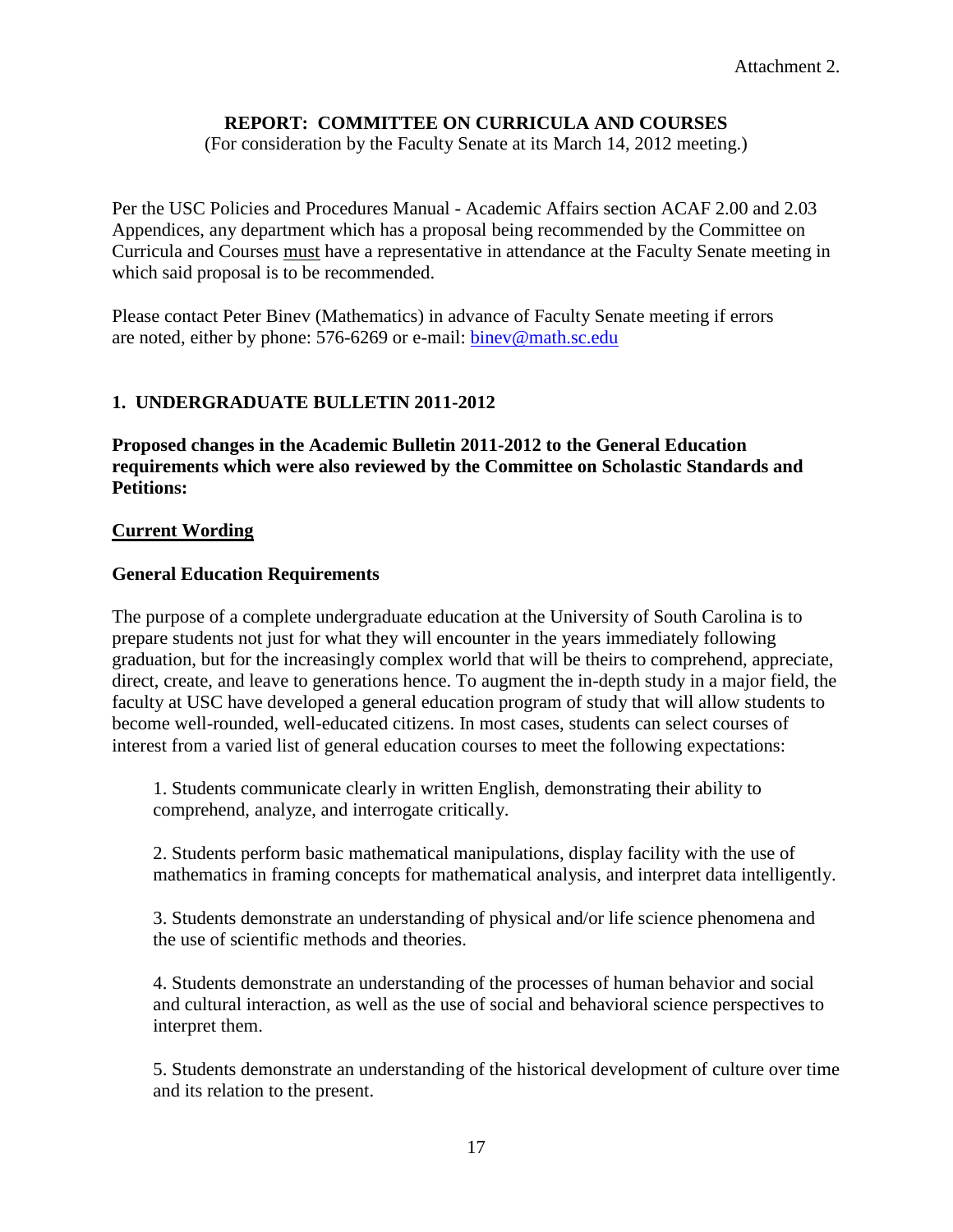## **REPORT: COMMITTEE ON CURRICULA AND COURSES**

(For consideration by the Faculty Senate at its March 14, 2012 meeting.)

Per the USC Policies and Procedures Manual - Academic Affairs section ACAF 2.00 and 2.03 Appendices, any department which has a proposal being recommended by the Committee on Curricula and Courses must have a representative in attendance at the Faculty Senate meeting in which said proposal is to be recommended.

Please contact Peter Binev (Mathematics) in advance of Faculty Senate meeting if errors are noted, either by phone: 576-6269 or e-mail: [binev@math.sc.edu](mailto:binev@math.sc.edu)

## **1. UNDERGRADUATE BULLETIN 2011-2012**

**Proposed changes in the Academic Bulletin 2011-2012 to the General Education requirements which were also reviewed by the Committee on Scholastic Standards and Petitions:**

## **Current Wording**

## **General Education Requirements**

The purpose of a complete undergraduate education at the University of South Carolina is to prepare students not just for what they will encounter in the years immediately following graduation, but for the increasingly complex world that will be theirs to comprehend, appreciate, direct, create, and leave to generations hence. To augment the in-depth study in a major field, the faculty at USC have developed a general education program of study that will allow students to become well-rounded, well-educated citizens. In most cases, students can select courses of interest from a varied list of general education courses to meet the following expectations:

1. Students communicate clearly in written English, demonstrating their ability to comprehend, analyze, and interrogate critically.

2. Students perform basic mathematical manipulations, display facility with the use of mathematics in framing concepts for mathematical analysis, and interpret data intelligently.

3. Students demonstrate an understanding of physical and/or life science phenomena and the use of scientific methods and theories.

4. Students demonstrate an understanding of the processes of human behavior and social and cultural interaction, as well as the use of social and behavioral science perspectives to interpret them.

5. Students demonstrate an understanding of the historical development of culture over time and its relation to the present.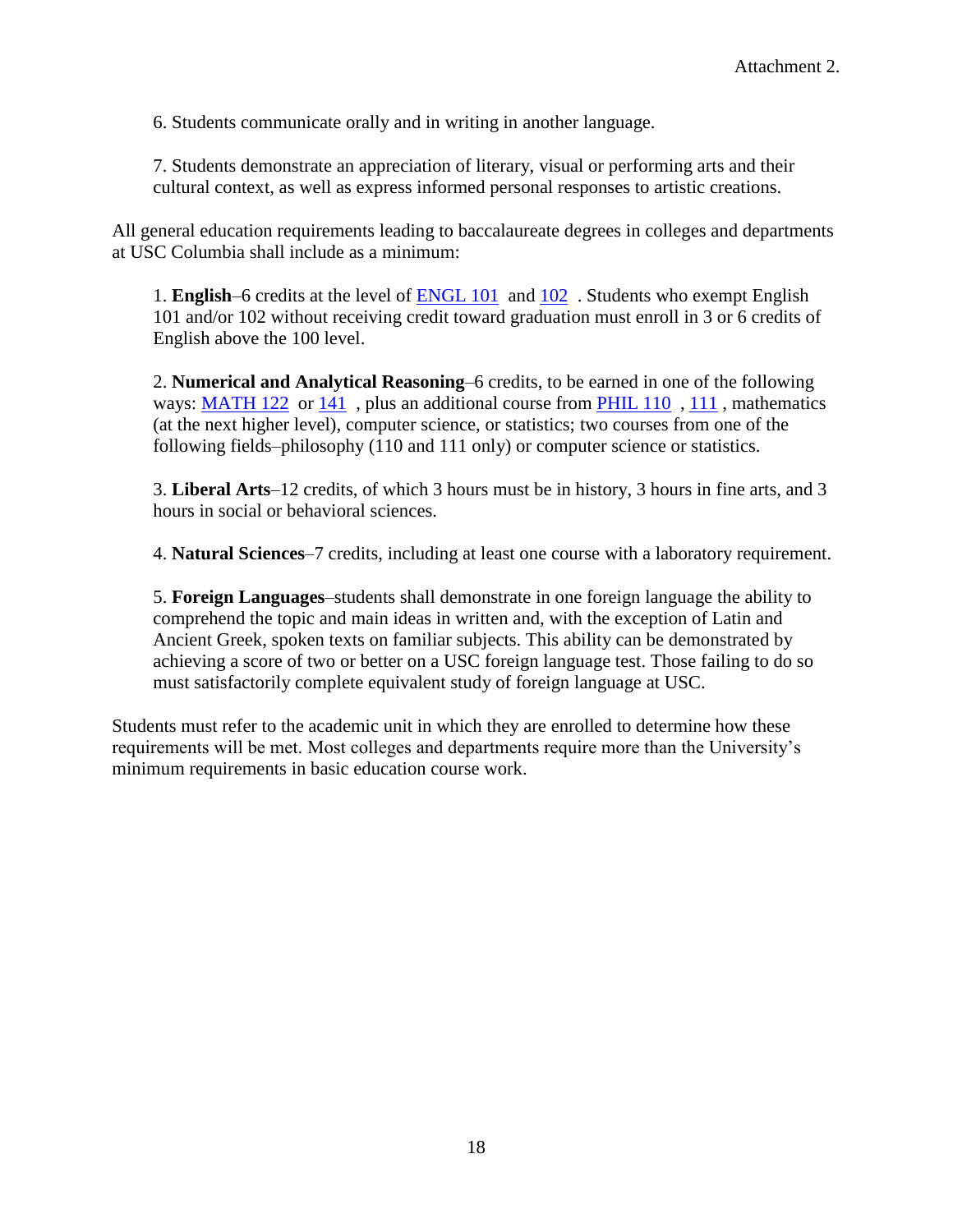6. Students communicate orally and in writing in another language.

7. Students demonstrate an appreciation of literary, visual or performing arts and their cultural context, as well as express informed personal responses to artistic creations.

All general education requirements leading to baccalaureate degrees in colleges and departments at USC Columbia shall include as a minimum:

1. **English**–6 credits at the level of [ENGL 101](http://bulletin.sc.edu/content.php?catoid=36&navoid=4232&hl=&returnto=search#tt5061) and [102](http://bulletin.sc.edu/content.php?catoid=36&navoid=4232&hl=&returnto=search#tt6753) . Students who exempt English 101 and/or 102 without receiving credit toward graduation must enroll in 3 or 6 credits of English above the 100 level.

2. **Numerical and Analytical Reasoning**–6 credits, to be earned in one of the following ways: [MATH 122](http://bulletin.sc.edu/content.php?catoid=36&navoid=4232&hl=&returnto=search#tt7645) or [141](http://bulletin.sc.edu/content.php?catoid=36&navoid=4232&hl=&returnto=search#tt5712), plus an additional course from [PHIL 110](http://bulletin.sc.edu/content.php?catoid=36&navoid=4232&hl=&returnto=search#tt6607), [111](http://bulletin.sc.edu/content.php?catoid=36&navoid=4232&hl=&returnto=search#tt5203), mathematics (at the next higher level), computer science, or statistics; two courses from one of the following fields–philosophy (110 and 111 only) or computer science or statistics.

3. **Liberal Arts**–12 credits, of which 3 hours must be in history, 3 hours in fine arts, and 3 hours in social or behavioral sciences.

4. **Natural Sciences**–7 credits, including at least one course with a laboratory requirement.

5. **Foreign Languages**–students shall demonstrate in one foreign language the ability to comprehend the topic and main ideas in written and, with the exception of Latin and Ancient Greek, spoken texts on familiar subjects. This ability can be demonstrated by achieving a score of two or better on a USC foreign language test. Those failing to do so must satisfactorily complete equivalent study of foreign language at USC.

Students must refer to the academic unit in which they are enrolled to determine how these requirements will be met. Most colleges and departments require more than the University's minimum requirements in basic education course work.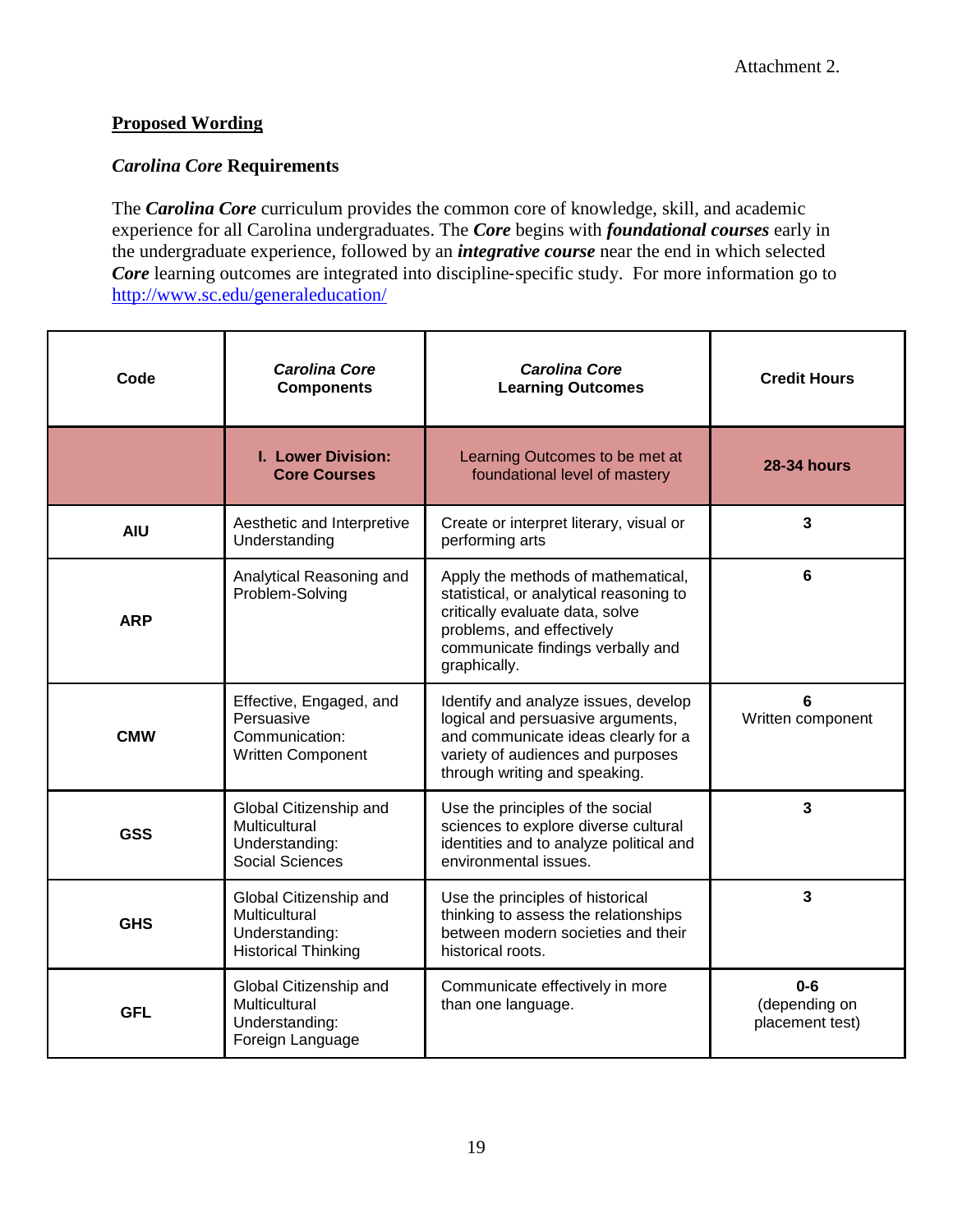## **Proposed Wording**

## *Carolina Core* **Requirements**

The *Carolina Core* curriculum provides the common core of knowledge, skill, and academic experience for all Carolina undergraduates. The *Core* begins with *foundational courses* early in the undergraduate experience, followed by an *integrative course* near the end in which selected *Core* learning outcomes are integrated into discipline-specific study. For more information go to <http://www.sc.edu/generaleducation/>

| Code       | <b>Carolina Core</b><br><b>Components</b>                                               | <b>Carolina Core</b><br><b>Learning Outcomes</b>                                                                                                                                                   | <b>Credit Hours</b>                         |
|------------|-----------------------------------------------------------------------------------------|----------------------------------------------------------------------------------------------------------------------------------------------------------------------------------------------------|---------------------------------------------|
|            | <b>I. Lower Division:</b><br><b>Core Courses</b>                                        | Learning Outcomes to be met at<br>foundational level of mastery                                                                                                                                    | <b>28-34 hours</b>                          |
| <b>AIU</b> | Aesthetic and Interpretive<br>Understanding                                             | Create or interpret literary, visual or<br>performing arts                                                                                                                                         | 3                                           |
| <b>ARP</b> | Analytical Reasoning and<br>Problem-Solving                                             | Apply the methods of mathematical,<br>statistical, or analytical reasoning to<br>critically evaluate data, solve<br>problems, and effectively<br>communicate findings verbally and<br>graphically. | 6                                           |
| <b>CMW</b> | Effective, Engaged, and<br>Persuasive<br>Communication:<br><b>Written Component</b>     | Identify and analyze issues, develop<br>logical and persuasive arguments,<br>and communicate ideas clearly for a<br>variety of audiences and purposes<br>through writing and speaking.             | 6<br>Written component                      |
| <b>GSS</b> | Global Citizenship and<br>Multicultural<br>Understanding:<br><b>Social Sciences</b>     | Use the principles of the social<br>sciences to explore diverse cultural<br>identities and to analyze political and<br>environmental issues.                                                       | 3                                           |
| <b>GHS</b> | Global Citizenship and<br>Multicultural<br>Understanding:<br><b>Historical Thinking</b> | Use the principles of historical<br>thinking to assess the relationships<br>between modern societies and their<br>historical roots.                                                                | 3                                           |
| <b>GFL</b> | Global Citizenship and<br>Multicultural<br>Understanding:<br>Foreign Language           | Communicate effectively in more<br>than one language.                                                                                                                                              | $0 - 6$<br>(depending on<br>placement test) |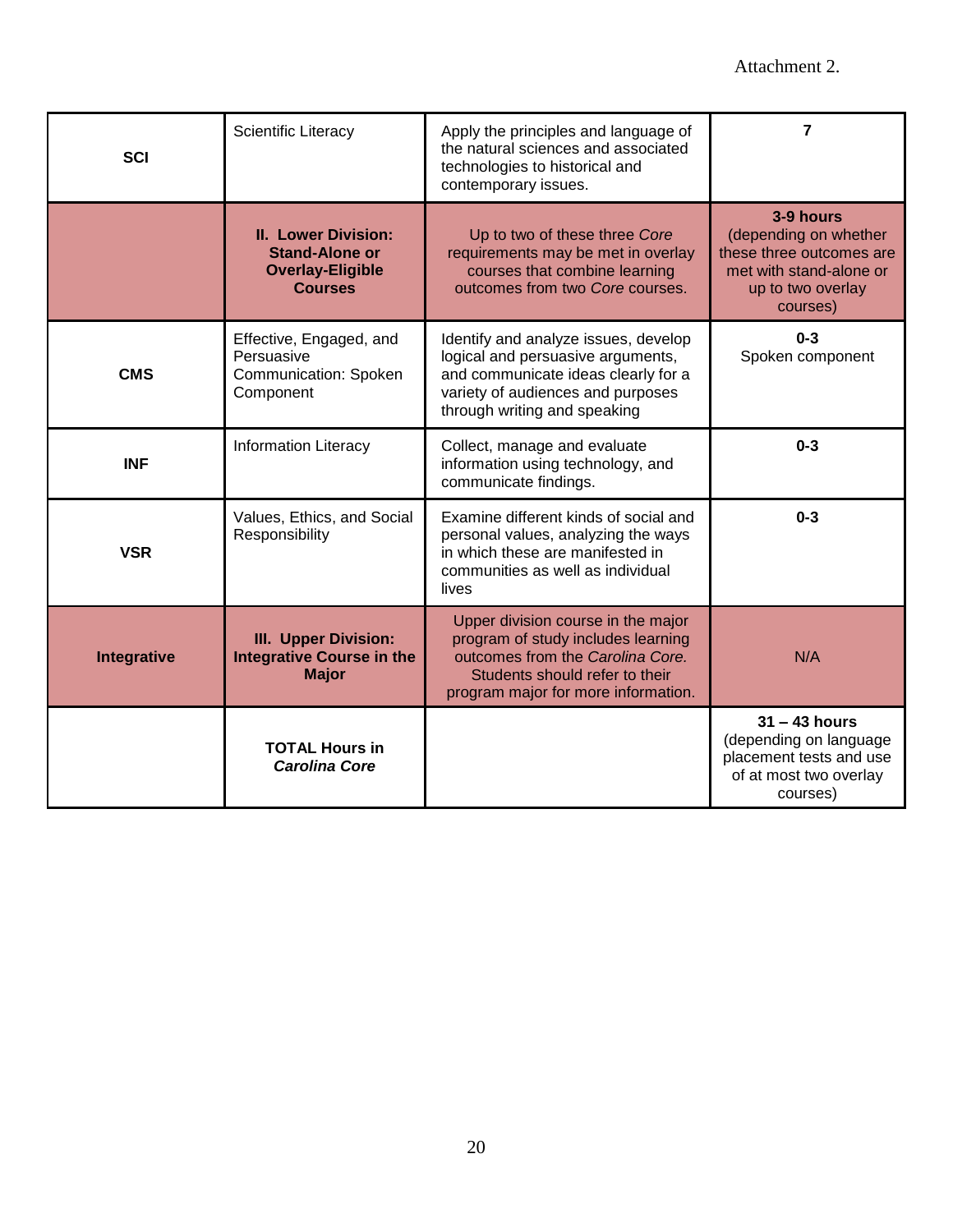| <b>SCI</b>  | Scientific Literacy                                                                              | Apply the principles and language of<br>the natural sciences and associated<br>technologies to historical and<br>contemporary issues.                                                 | 7                                                                                                                          |
|-------------|--------------------------------------------------------------------------------------------------|---------------------------------------------------------------------------------------------------------------------------------------------------------------------------------------|----------------------------------------------------------------------------------------------------------------------------|
|             | <b>II. Lower Division:</b><br><b>Stand-Alone or</b><br><b>Overlay-Eligible</b><br><b>Courses</b> | Up to two of these three Core<br>requirements may be met in overlay<br>courses that combine learning<br>outcomes from two Core courses.                                               | 3-9 hours<br>(depending on whether<br>these three outcomes are<br>met with stand-alone or<br>up to two overlay<br>courses) |
| <b>CMS</b>  | Effective, Engaged, and<br>Persuasive<br>Communication: Spoken<br>Component                      | Identify and analyze issues, develop<br>logical and persuasive arguments,<br>and communicate ideas clearly for a<br>variety of audiences and purposes<br>through writing and speaking | $0 - 3$<br>Spoken component                                                                                                |
| <b>INF</b>  | <b>Information Literacy</b>                                                                      | Collect, manage and evaluate<br>information using technology, and<br>communicate findings.                                                                                            | $0 - 3$                                                                                                                    |
| <b>VSR</b>  | Values, Ethics, and Social<br>Responsibility                                                     | Examine different kinds of social and<br>personal values, analyzing the ways<br>in which these are manifested in<br>communities as well as individual<br>lives                        | $0 - 3$                                                                                                                    |
| Integrative | <b>III. Upper Division:</b><br><b>Integrative Course in the</b><br><b>Major</b>                  | Upper division course in the major<br>program of study includes learning<br>outcomes from the Carolina Core.<br>Students should refer to their<br>program major for more information. | N/A                                                                                                                        |
|             | <b>TOTAL Hours in</b><br><b>Carolina Core</b>                                                    |                                                                                                                                                                                       | $31 - 43$ hours<br>(depending on language<br>placement tests and use<br>of at most two overlay<br>courses)                 |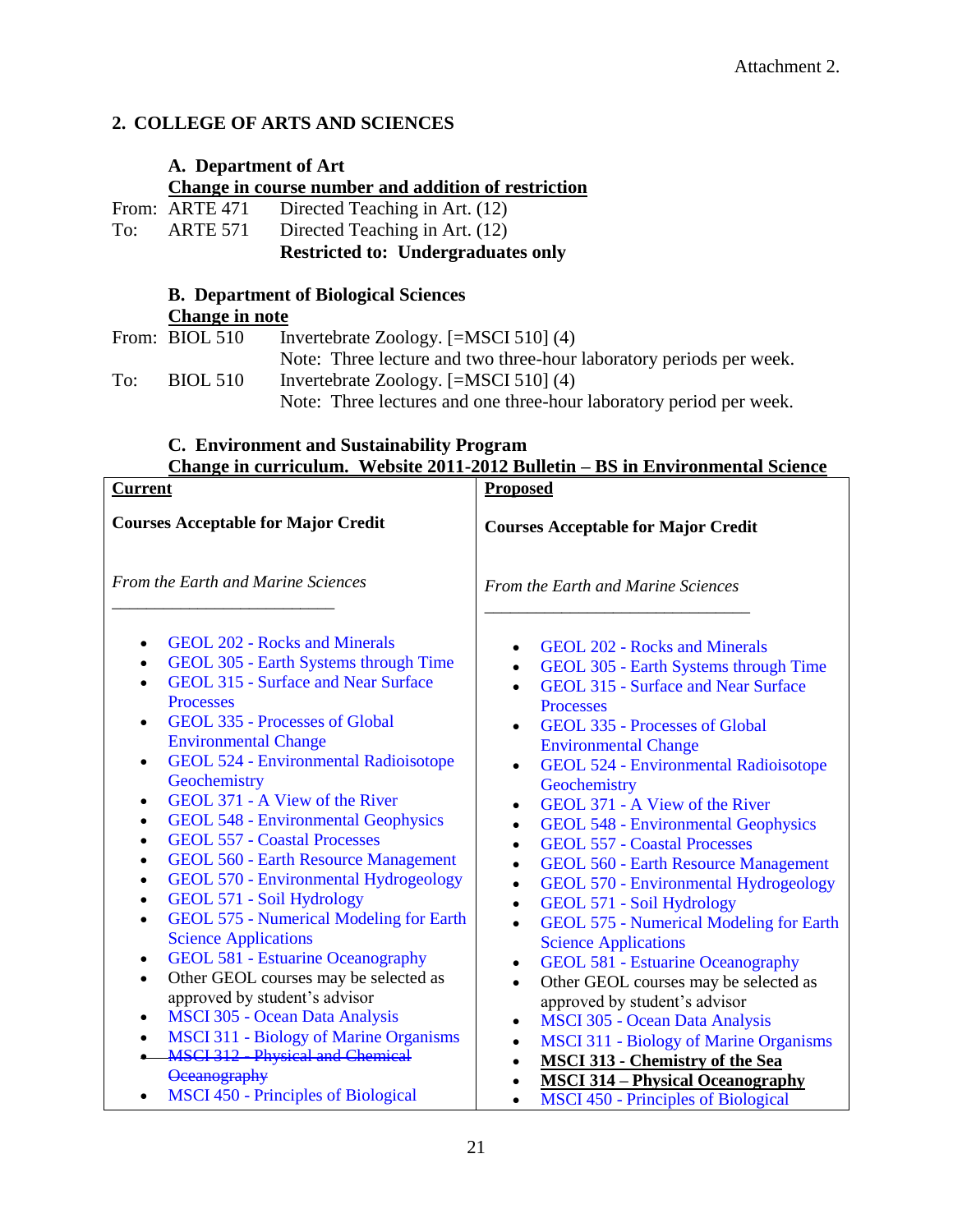## **2. COLLEGE OF ARTS AND SCIENCES**

## **A. Department of Art Change in course number and addition of restriction**<br>From: ARTE 471 Directed Teaching in Art. (12) ARTE 471 Directed Teaching in Art. (12)<br>ARTE 571 Directed Teaching in Art. (12) To: ARTE 571 Directed Teaching in Art. (12)

**Restricted to: Undergraduates only**

## **B. Department of Biological Sciences Change in note**

|     | From: BIOL 510  | Invertebrate Zoology. $[=MSCI 510] (4)$                             |
|-----|-----------------|---------------------------------------------------------------------|
|     |                 | Note: Three lecture and two three-hour laboratory periods per week. |
| To: | <b>BIOL 510</b> | Invertebrate Zoology. $[=MSCI 510] (4)$                             |
|     |                 | Note: Three lectures and one three-hour laboratory period per week. |

## **C. Environment and Sustainability Program Change in curriculum. Website 2011-2012 Bulletin – BS in Environmental Science**

| <b>Current</b>                                                                                                                                                                                                                                                                                                                                                                                                                                                                                                                                                                                                                                                                                                                                                                                                                                                                                                                                                                                                                                                                                                                      | <b>Proposed</b>                                                                                                                                                                                                                                                                                                                                                                                                                                                                                                                                                                                                                                                                                                                                                                                                                                                                                                                                                                                                                                                                                                                                                                               |  |
|-------------------------------------------------------------------------------------------------------------------------------------------------------------------------------------------------------------------------------------------------------------------------------------------------------------------------------------------------------------------------------------------------------------------------------------------------------------------------------------------------------------------------------------------------------------------------------------------------------------------------------------------------------------------------------------------------------------------------------------------------------------------------------------------------------------------------------------------------------------------------------------------------------------------------------------------------------------------------------------------------------------------------------------------------------------------------------------------------------------------------------------|-----------------------------------------------------------------------------------------------------------------------------------------------------------------------------------------------------------------------------------------------------------------------------------------------------------------------------------------------------------------------------------------------------------------------------------------------------------------------------------------------------------------------------------------------------------------------------------------------------------------------------------------------------------------------------------------------------------------------------------------------------------------------------------------------------------------------------------------------------------------------------------------------------------------------------------------------------------------------------------------------------------------------------------------------------------------------------------------------------------------------------------------------------------------------------------------------|--|
| <b>Courses Acceptable for Major Credit</b>                                                                                                                                                                                                                                                                                                                                                                                                                                                                                                                                                                                                                                                                                                                                                                                                                                                                                                                                                                                                                                                                                          | <b>Courses Acceptable for Major Credit</b>                                                                                                                                                                                                                                                                                                                                                                                                                                                                                                                                                                                                                                                                                                                                                                                                                                                                                                                                                                                                                                                                                                                                                    |  |
| <b>From the Earth and Marine Sciences</b>                                                                                                                                                                                                                                                                                                                                                                                                                                                                                                                                                                                                                                                                                                                                                                                                                                                                                                                                                                                                                                                                                           | From the Earth and Marine Sciences                                                                                                                                                                                                                                                                                                                                                                                                                                                                                                                                                                                                                                                                                                                                                                                                                                                                                                                                                                                                                                                                                                                                                            |  |
| <b>GEOL 202 - Rocks and Minerals</b><br>$\bullet$<br>GEOL 305 - Earth Systems through Time<br>$\bullet$<br><b>GEOL 315 - Surface and Near Surface</b><br>Processes<br>GEOL 335 - Processes of Global<br>$\bullet$<br><b>Environmental Change</b><br><b>GEOL 524 - Environmental Radioisotope</b><br>$\bullet$<br>Geochemistry<br>GEOL 371 - A View of the River<br>$\bullet$<br><b>GEOL 548 - Environmental Geophysics</b><br>$\bullet$<br><b>GEOL 557 - Coastal Processes</b><br>$\bullet$<br><b>GEOL 560 - Earth Resource Management</b><br>$\bullet$<br><b>GEOL 570 - Environmental Hydrogeology</b><br>$\bullet$<br>GEOL 571 - Soil Hydrology<br>$\bullet$<br><b>GEOL 575 - Numerical Modeling for Earth</b><br>$\bullet$<br><b>Science Applications</b><br><b>GEOL 581 - Estuarine Oceanography</b><br>$\bullet$<br>Other GEOL courses may be selected as<br>$\bullet$<br>approved by student's advisor<br><b>MSCI 305 - Ocean Data Analysis</b><br>$\bullet$<br><b>MSCI 311 - Biology of Marine Organisms</b><br><b>MSCI 312 - Physical and Chemical</b><br><b>Oceanography</b><br><b>MSCI 450 - Principles of Biological</b> | <b>GEOL 202 - Rocks and Minerals</b><br>$\bullet$<br>GEOL 305 - Earth Systems through Time<br>$\bullet$<br><b>GEOL 315 - Surface and Near Surface</b><br>Processes<br><b>GEOL 335 - Processes of Global</b><br>$\bullet$<br><b>Environmental Change</b><br><b>GEOL 524 - Environmental Radioisotope</b><br>$\bullet$<br>Geochemistry<br>GEOL 371 - A View of the River<br>$\bullet$<br><b>GEOL 548 - Environmental Geophysics</b><br>$\bullet$<br><b>GEOL 557 - Coastal Processes</b><br>$\bullet$<br><b>GEOL 560 - Earth Resource Management</b><br>$\bullet$<br>GEOL 570 - Environmental Hydrogeology<br>$\bullet$<br>GEOL 571 - Soil Hydrology<br>$\bullet$<br><b>GEOL 575 - Numerical Modeling for Earth</b><br>$\bullet$<br><b>Science Applications</b><br><b>GEOL 581 - Estuarine Oceanography</b><br>$\bullet$<br>Other GEOL courses may be selected as<br>$\bullet$<br>approved by student's advisor<br><b>MSCI 305 - Ocean Data Analysis</b><br>$\bullet$<br><b>MSCI 311 - Biology of Marine Organisms</b><br>$\bullet$<br><b>MSCI 313 - Chemistry of the Sea</b><br>$\bullet$<br><b>MSCI 314 - Physical Oceanography</b><br><b>MSCI 450 - Principles of Biological</b><br>$\bullet$ |  |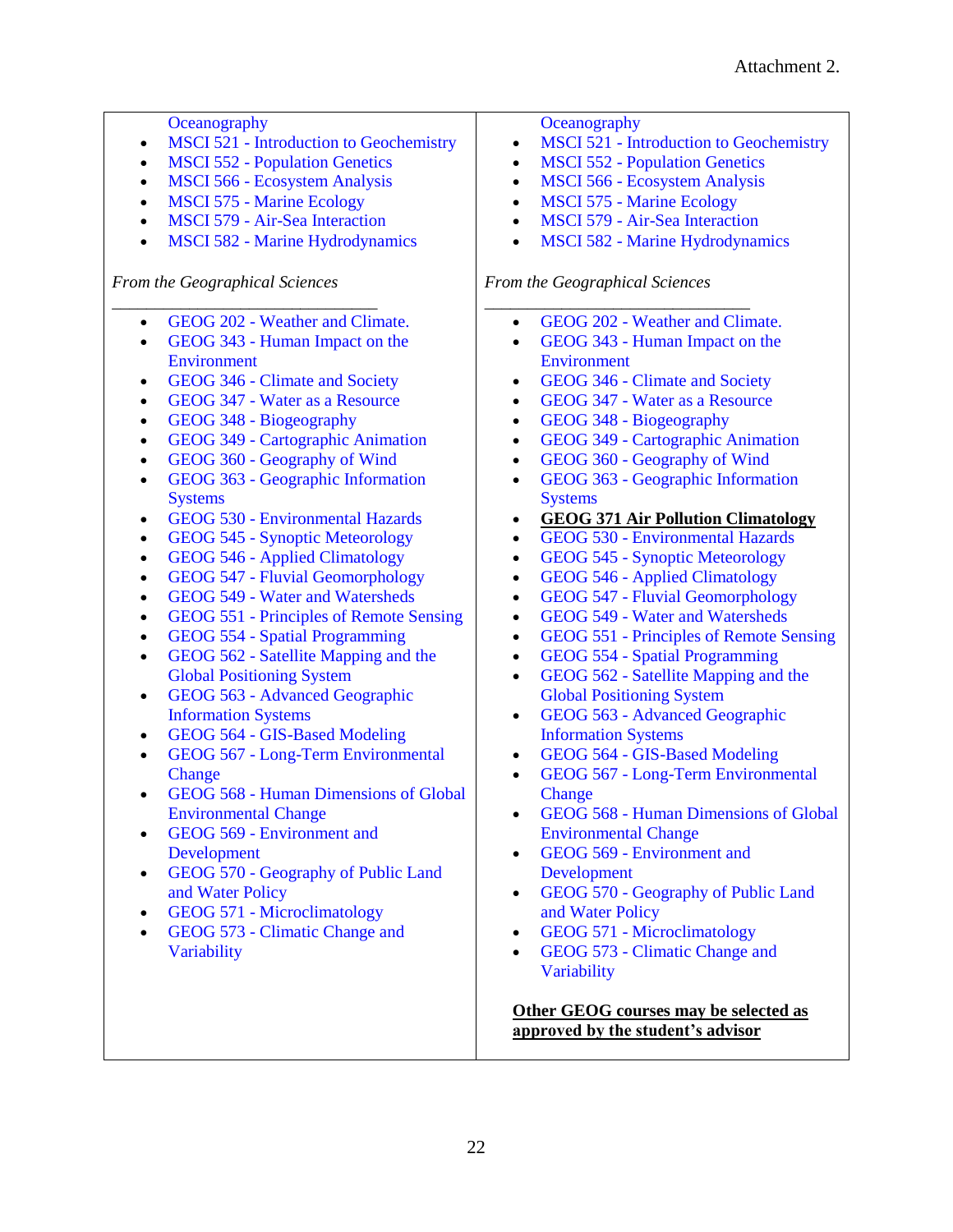| Oceanography                                       | Oceanography                                       |
|----------------------------------------------------|----------------------------------------------------|
| <b>MSCI 521 - Introduction to Geochemistry</b>     | <b>MSCI 521 - Introduction to Geochemistry</b>     |
| $\bullet$                                          | $\bullet$                                          |
| <b>MSCI 552 - Population Genetics</b>              | <b>MSCI 552 - Population Genetics</b>              |
| $\bullet$                                          | $\bullet$                                          |
| <b>MSCI 566 - Ecosystem Analysis</b>               | <b>MSCI 566 - Ecosystem Analysis</b>               |
| $\bullet$                                          | $\bullet$                                          |
| <b>MSCI 575 - Marine Ecology</b>                   | <b>MSCI 575 - Marine Ecology</b>                   |
| $\bullet$                                          | $\bullet$                                          |
| <b>MSCI 579 - Air-Sea Interaction</b>              | <b>MSCI 579 - Air-Sea Interaction</b>              |
| $\bullet$                                          | $\bullet$                                          |
| <b>MSCI 582 - Marine Hydrodynamics</b>             | <b>MSCI 582 - Marine Hydrodynamics</b>             |
| $\bullet$                                          | $\bullet$                                          |
| From the Geographical Sciences                     | From the Geographical Sciences                     |
| GEOG 202 - Weather and Climate.                    | GEOG 202 - Weather and Climate.                    |
| $\bullet$                                          | ٠                                                  |
| GEOG 343 - Human Impact on the                     | GEOG 343 - Human Impact on the                     |
| ٠                                                  | $\bullet$                                          |
| Environment                                        | Environment                                        |
| GEOG 346 - Climate and Society                     | GEOG 346 - Climate and Society                     |
| $\bullet$                                          | $\bullet$                                          |
| GEOG 347 - Water as a Resource                     | <b>GEOG 347 - Water as a Resource</b>              |
| $\bullet$                                          | $\bullet$                                          |
| GEOG 348 - Biogeography                            | GEOG 348 - Biogeography                            |
| $\bullet$                                          | $\bullet$                                          |
| GEOG 349 - Cartographic Animation                  | GEOG 349 - Cartographic Animation                  |
| $\bullet$                                          | $\bullet$                                          |
| GEOG 360 - Geography of Wind                       | GEOG 360 - Geography of Wind                       |
| $\bullet$                                          | $\bullet$                                          |
| GEOG 363 - Geographic Information                  | GEOG 363 - Geographic Information                  |
| $\bullet$                                          | $\bullet$                                          |
| <b>Systems</b>                                     | <b>Systems</b>                                     |
| <b>GEOG 530 - Environmental Hazards</b>            | <b>GEOG 371 Air Pollution Climatology</b>          |
| $\bullet$                                          | $\bullet$                                          |
| GEOG 545 - Synoptic Meteorology                    | <b>GEOG 530 - Environmental Hazards</b>            |
| $\bullet$                                          | $\bullet$                                          |
| <b>GEOG 546 - Applied Climatology</b>              | <b>GEOG 545 - Synoptic Meteorology</b>             |
| $\bullet$                                          | $\bullet$                                          |
| GEOG 547 - Fluvial Geomorphology                   | GEOG 546 - Applied Climatology                     |
| $\bullet$                                          | $\bullet$                                          |
| <b>GEOG 549 - Water and Watersheds</b>             | <b>GEOG 547 - Fluvial Geomorphology</b>            |
| $\bullet$                                          | $\bullet$                                          |
| <b>GEOG 551 - Principles of Remote Sensing</b>     | <b>GEOG 549 - Water and Watersheds</b>             |
| $\bullet$                                          | $\bullet$                                          |
| <b>GEOG 554 - Spatial Programming</b>              | GEOG 551 - Principles of Remote Sensing            |
| $\bullet$                                          | $\bullet$                                          |
| GEOG 562 - Satellite Mapping and the               | <b>GEOG 554 - Spatial Programming</b>              |
| $\bullet$                                          | $\bullet$                                          |
| <b>Global Positioning System</b>                   | GEOG 562 - Satellite Mapping and the<br>$\bullet$  |
| GEOG 563 - Advanced Geographic<br>$\bullet$        | <b>Global Positioning System</b>                   |
| <b>Information Systems</b>                         | GEOG 563 - Advanced Geographic<br>$\bullet$        |
| GEOG 564 - GIS-Based Modeling<br>$\bullet$         | <b>Information Systems</b>                         |
| GEOG 567 - Long-Term Environmental                 | GEOG 564 - GIS-Based Modeling                      |
| $\bullet$                                          | $\bullet$                                          |
| Change                                             | GEOG 567 - Long-Term Environmental<br>$\bullet$    |
| GEOG 568 - Human Dimensions of Global<br>$\bullet$ | Change                                             |
| <b>Environmental Change</b>                        | GEOG 568 - Human Dimensions of Global<br>$\bullet$ |
| GEOG 569 - Environment and<br>$\bullet$            | <b>Environmental Change</b>                        |
| Development                                        | GEOG 569 - Environment and<br>$\bullet$            |
| GEOG 570 - Geography of Public Land<br>$\bullet$   | Development                                        |
| and Water Policy                                   | GEOG 570 - Geography of Public Land<br>$\bullet$   |
| GEOG 571 - Microclimatology<br>$\bullet$           | and Water Policy                                   |
| GEOG 573 - Climatic Change and                     | GEOG 571 - Microclimatology                        |
| $\bullet$                                          | $\bullet$                                          |
| Variability                                        | GEOG 573 - Climatic Change and<br>$\bullet$        |
|                                                    | Variability                                        |
|                                                    | Other GEOG courses may be selected as              |
|                                                    | approved by the student's advisor                  |
|                                                    |                                                    |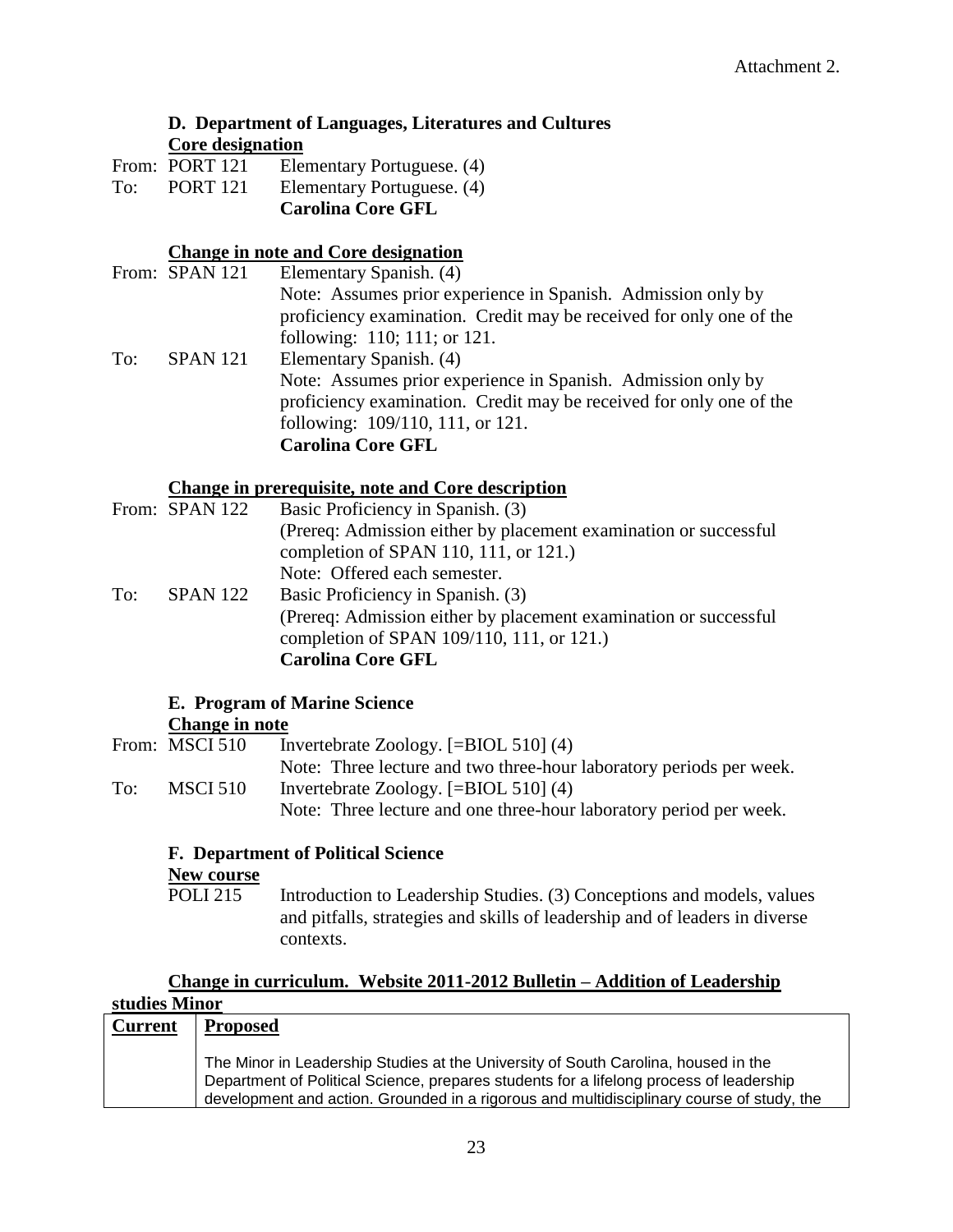## **D. Department of Languages, Literatures and Cultures Core designation**

|     |                 | <b>Carolina Core GFL</b>   |
|-----|-----------------|----------------------------|
| To: | <b>PORT 121</b> | Elementary Portuguese. (4) |
|     | From: PORT 121  | Elementary Portuguese. (4) |

## **Change in note and Core designation**

|     | From: SPAN 121  | Elementary Spanish. (4)                                             |
|-----|-----------------|---------------------------------------------------------------------|
|     |                 | Note: Assumes prior experience in Spanish. Admission only by        |
|     |                 | proficiency examination. Credit may be received for only one of the |
|     |                 | following: 110; 111; or 121.                                        |
| To: | <b>SPAN 121</b> | Elementary Spanish. (4)                                             |
|     |                 | Note: Assumes prior experience in Spanish. Admission only by        |
|     |                 | proficiency examination. Credit may be received for only one of the |
|     |                 | following: 109/110, 111, or 121.                                    |
|     |                 | <b>Carolina Core GFL</b>                                            |

## **Change in prerequisite, note and Core description**

|     | From: SPAN 122  | Basic Proficiency in Spanish. (3)                                 |
|-----|-----------------|-------------------------------------------------------------------|
|     |                 | (Prereq: Admission either by placement examination or successful) |
|     |                 | completion of SPAN 110, 111, or 121.)                             |
|     |                 | Note: Offered each semester.                                      |
| To: | <b>SPAN 122</b> | Basic Proficiency in Spanish. (3)                                 |
|     |                 | (Prereq: Admission either by placement examination or successful  |
|     |                 | completion of SPAN 109/110, 111, or 121.)                         |
|     |                 | <b>Carolina Core GFL</b>                                          |

#### **E. Program of Marine Science Change in note**

|     | From: MSCI 510 | Invertebrate Zoology. $[=\text{BIOL} 510] (4)$                      |
|-----|----------------|---------------------------------------------------------------------|
|     |                | Note: Three lecture and two three-hour laboratory periods per week. |
| To: | MSCI 510       | Invertebrate Zoology. $[=\text{BIOL} 510] (4)$                      |
|     |                | Note: Three lecture and one three-hour laboratory period per week.  |

## **F. Department of Political Science**

## **New course**

POLI 215 Introduction to Leadership Studies. (3) Conceptions and models, values and pitfalls, strategies and skills of leadership and of leaders in diverse contexts.

## **Change in curriculum. Website 2011-2012 Bulletin – Addition of Leadership studies Minor**

| <b>Current</b> | <b>Proposed</b>                                                                                                                                                                                                                                                            |
|----------------|----------------------------------------------------------------------------------------------------------------------------------------------------------------------------------------------------------------------------------------------------------------------------|
|                | The Minor in Leadership Studies at the University of South Carolina, housed in the<br>Department of Political Science, prepares students for a lifelong process of leadership<br>development and action. Grounded in a rigorous and multidisciplinary course of study, the |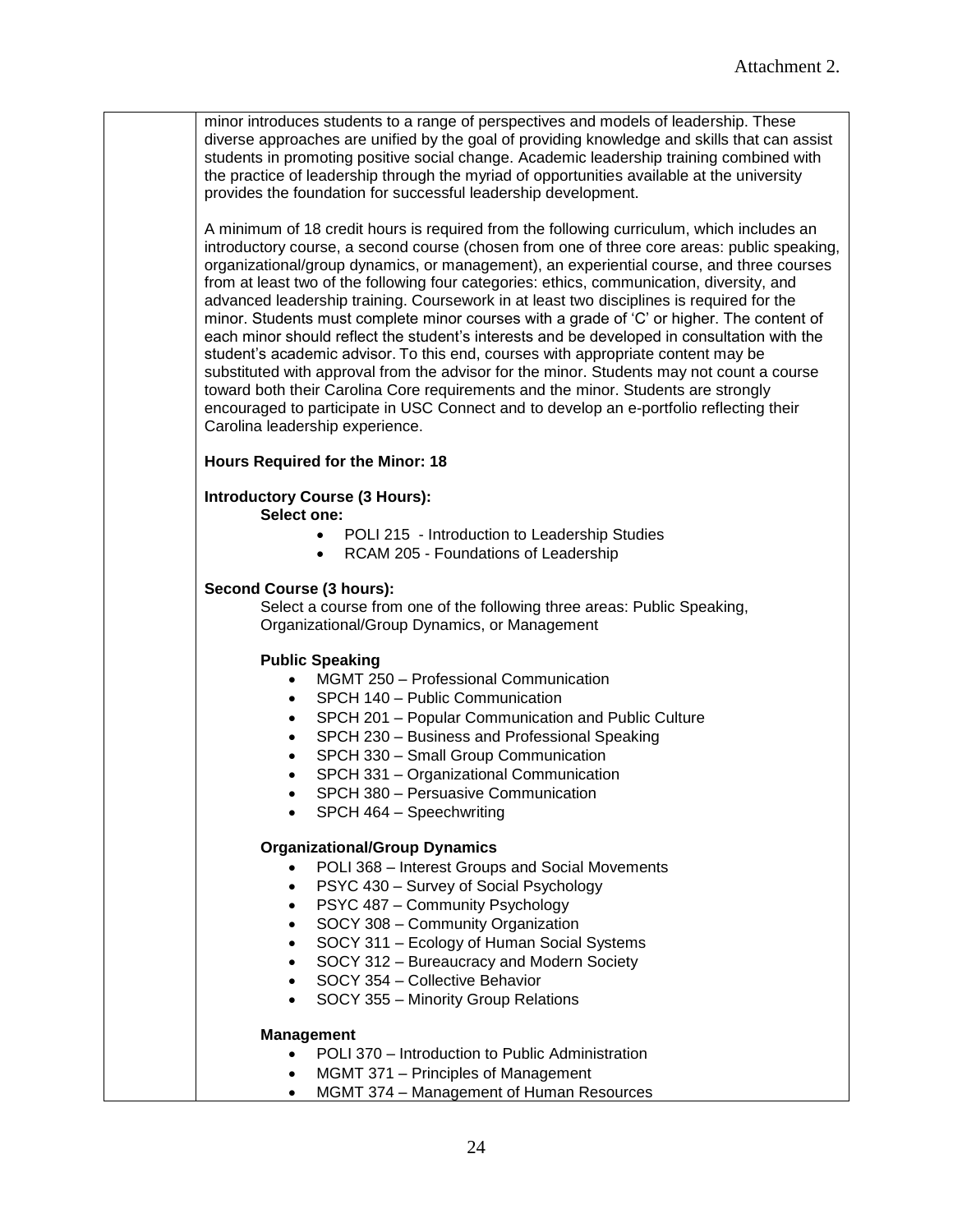minor introduces students to a range of perspectives and models of leadership. These diverse approaches are unified by the goal of providing knowledge and skills that can assist students in promoting positive social change. Academic leadership training combined with the practice of leadership through the myriad of opportunities available at the university provides the foundation for successful leadership development.

A minimum of 18 credit hours is required from the following curriculum, which includes an introductory course, a second course (chosen from one of three core areas: public speaking, organizational/group dynamics, or management), an experiential course, and three courses from at least two of the following four categories: ethics, communication, diversity, and advanced leadership training. Coursework in at least two disciplines is required for the minor. Students must complete minor courses with a grade of "C" or higher. The content of each minor should reflect the student"s interests and be developed in consultation with the student"s academic advisor. To this end, courses with appropriate content may be substituted with approval from the advisor for the minor. Students may not count a course toward both their Carolina Core requirements and the minor. Students are strongly encouraged to participate in USC Connect and to develop an e-portfolio reflecting their Carolina leadership experience.

#### **Hours Required for the Minor: 18**

## **Introductory Course (3 Hours):**

**Select one:**

- POLI 215 Introduction to Leadership Studies
- RCAM 205 Foundations of Leadership

#### **Second Course (3 hours):**

Select a course from one of the following three areas: Public Speaking, Organizational/Group Dynamics, or Management

#### **Public Speaking**

- MGMT 250 Professional Communication
- SPCH 140 Public Communication
- SPCH 201 Popular Communication and Public Culture
- SPCH 230 Business and Professional Speaking
- SPCH 330 Small Group Communication
- SPCH 331 Organizational Communication
- SPCH 380 Persuasive Communication
- SPCH 464 Speechwriting

#### **Organizational/Group Dynamics**

- POLI 368 Interest Groups and Social Movements
- PSYC 430 Survey of Social Psychology
- PSYC 487 Community Psychology
- SOCY 308 Community Organization
- SOCY 311 Ecology of Human Social Systems
- SOCY 312 Bureaucracy and Modern Society
- SOCY 354 Collective Behavior
- SOCY 355 Minority Group Relations

#### **Management**

- POLI 370 Introduction to Public Administration
- MGMT 371 Principles of Management
	- MGMT 374 Management of Human Resources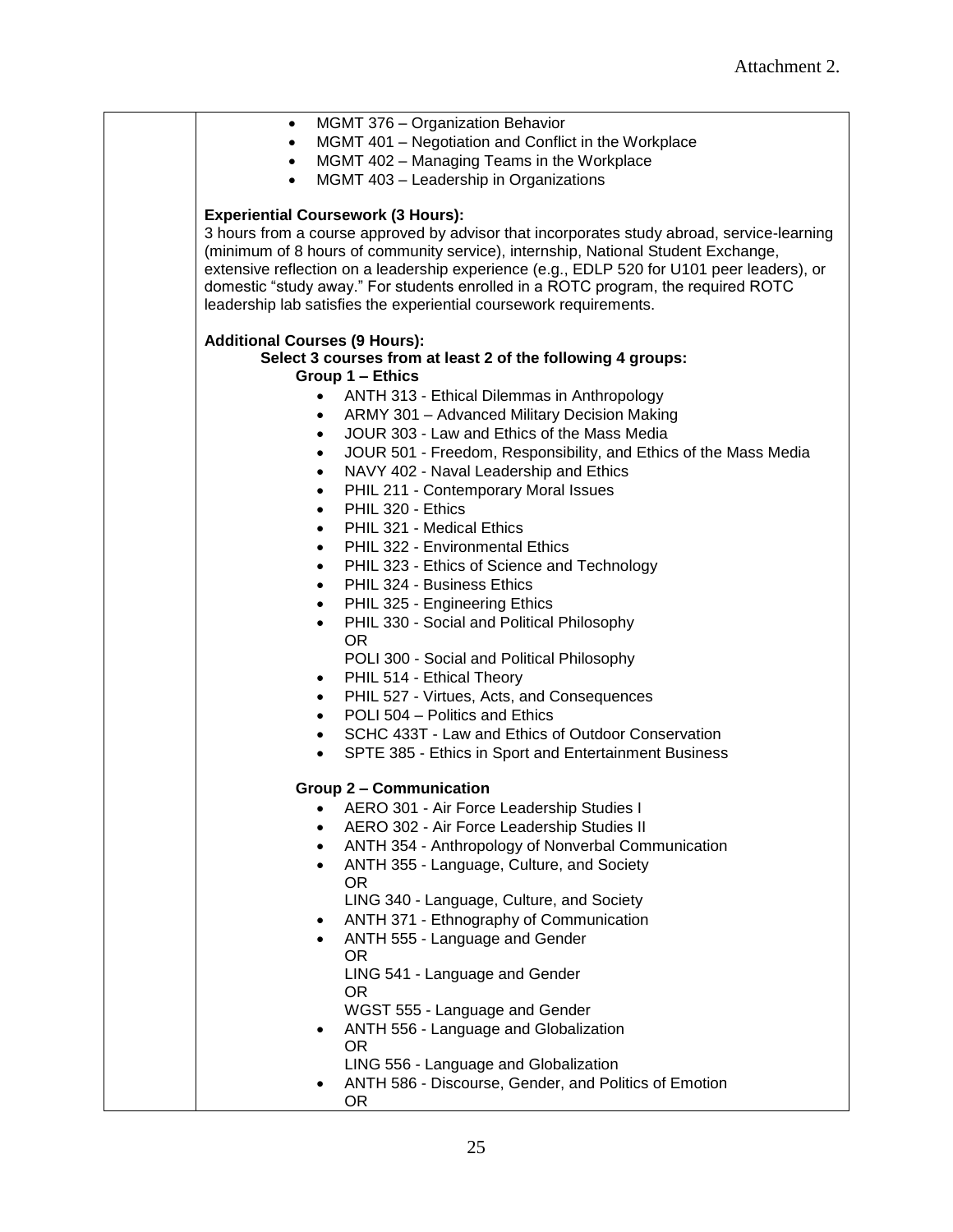| MGMT 376 - Organization Behavior<br>$\bullet$                                              |
|--------------------------------------------------------------------------------------------|
| MGMT 401 - Negotiation and Conflict in the Workplace<br>$\bullet$                          |
| MGMT 402 - Managing Teams in the Workplace<br>$\bullet$                                    |
| MGMT 403 - Leadership in Organizations<br>$\bullet$                                        |
|                                                                                            |
| <b>Experiential Coursework (3 Hours):</b>                                                  |
| 3 hours from a course approved by advisor that incorporates study abroad, service-learning |
| (minimum of 8 hours of community service), internship, National Student Exchange,          |
| extensive reflection on a leadership experience (e.g., EDLP 520 for U101 peer leaders), or |
| domestic "study away." For students enrolled in a ROTC program, the required ROTC          |
| leadership lab satisfies the experiential coursework requirements.                         |
|                                                                                            |
| <b>Additional Courses (9 Hours):</b>                                                       |
| Select 3 courses from at least 2 of the following 4 groups:                                |
| Group 1 – Ethics                                                                           |
| $\bullet$                                                                                  |
| ANTH 313 - Ethical Dilemmas in Anthropology                                                |
| ARMY 301 - Advanced Military Decision Making<br>$\bullet$                                  |
| JOUR 303 - Law and Ethics of the Mass Media<br>$\bullet$                                   |
| JOUR 501 - Freedom, Responsibility, and Ethics of the Mass Media<br>$\bullet$              |
| NAVY 402 - Naval Leadership and Ethics<br>$\bullet$                                        |
| PHIL 211 - Contemporary Moral Issues<br>$\bullet$                                          |
| PHIL 320 - Ethics<br>$\bullet$                                                             |
| PHIL 321 - Medical Ethics<br>$\bullet$                                                     |
| PHIL 322 - Environmental Ethics<br>$\bullet$                                               |
| PHIL 323 - Ethics of Science and Technology<br>$\bullet$                                   |
| PHIL 324 - Business Ethics<br>$\bullet$                                                    |
| PHIL 325 - Engineering Ethics<br>$\bullet$                                                 |
| PHIL 330 - Social and Political Philosophy<br>$\bullet$                                    |
| OR.                                                                                        |
| POLI 300 - Social and Political Philosophy                                                 |
| PHIL 514 - Ethical Theory<br>٠                                                             |
| PHIL 527 - Virtues, Acts, and Consequences<br>$\bullet$                                    |
| POLI 504 - Politics and Ethics<br>$\bullet$                                                |
| SCHC 433T - Law and Ethics of Outdoor Conservation<br>$\bullet$                            |
| SPTE 385 - Ethics in Sport and Entertainment Business<br>$\bullet$                         |
|                                                                                            |
| <b>Group 2 - Communication</b>                                                             |
| AERO 301 - Air Force Leadership Studies I<br>٠                                             |
| AERO 302 - Air Force Leadership Studies II<br>$\bullet$                                    |
| ANTH 354 - Anthropology of Nonverbal Communication<br>$\bullet$                            |
| ANTH 355 - Language, Culture, and Society<br>$\bullet$                                     |
| OR.                                                                                        |
| LING 340 - Language, Culture, and Society                                                  |
| ANTH 371 - Ethnography of Communication<br>$\bullet$                                       |
| ANTH 555 - Language and Gender<br>$\bullet$                                                |
| OR.                                                                                        |
| LING 541 - Language and Gender                                                             |
| OR.                                                                                        |
| WGST 555 - Language and Gender                                                             |
| ANTH 556 - Language and Globalization                                                      |
| $\bullet$<br>OR.                                                                           |
| LING 556 - Language and Globalization                                                      |
| ANTH 586 - Discourse, Gender, and Politics of Emotion                                      |
| <b>OR</b>                                                                                  |
|                                                                                            |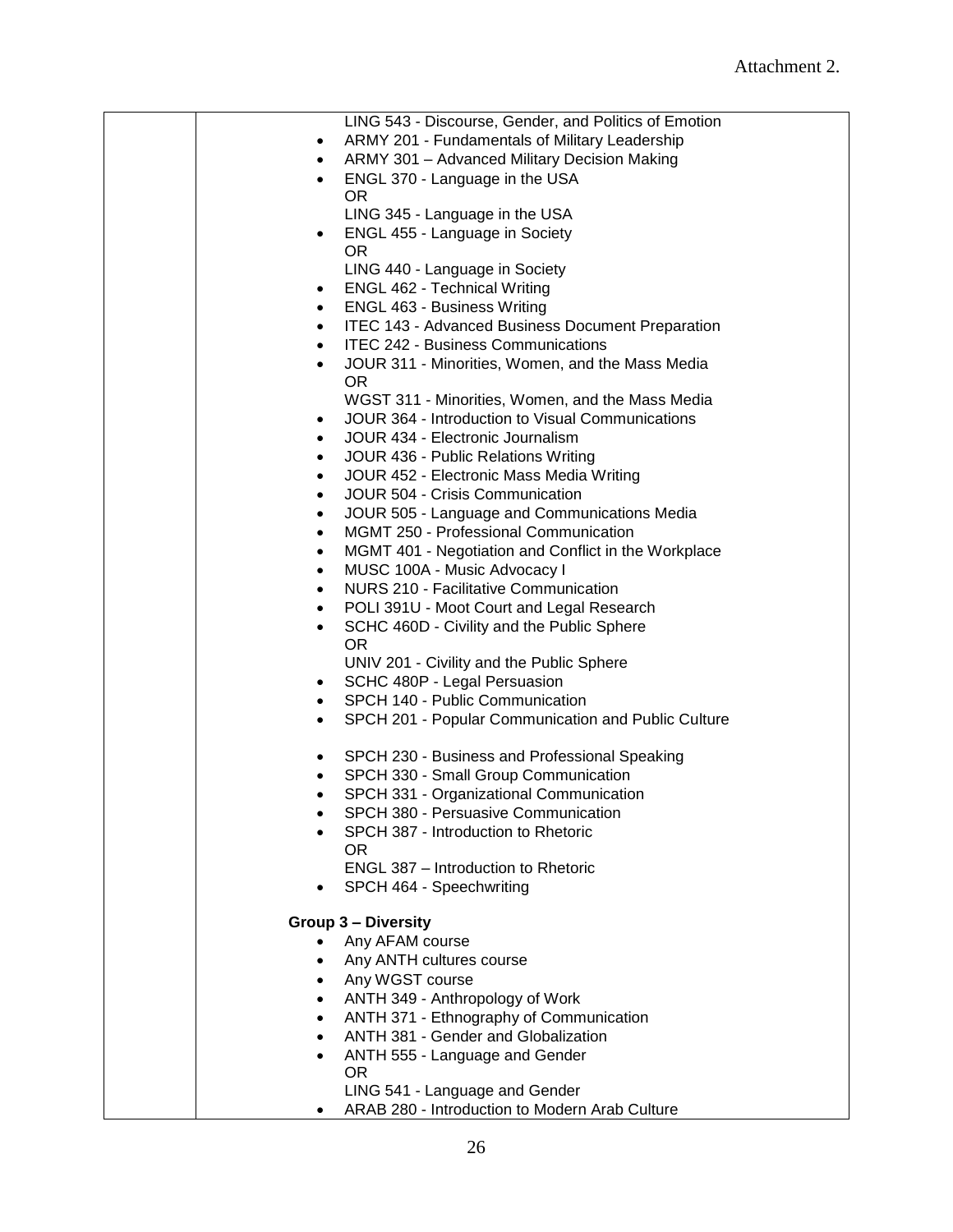| LING 543 - Discourse, Gender, and Politics of Emotion             |
|-------------------------------------------------------------------|
| ARMY 201 - Fundamentals of Military Leadership<br>٠               |
| ARMY 301 - Advanced Military Decision Making<br>$\bullet$         |
| ENGL 370 - Language in the USA<br>$\bullet$                       |
| 0R                                                                |
| LING 345 - Language in the USA                                    |
| ENGL 455 - Language in Society<br>٠                               |
| <b>OR</b>                                                         |
| LING 440 - Language in Society                                    |
| <b>ENGL 462 - Technical Writing</b>                               |
| <b>ENGL 463 - Business Writing</b>                                |
| <b>ITEC 143 - Advanced Business Document Preparation</b>          |
| <b>ITEC 242 - Business Communications</b>                         |
| JOUR 311 - Minorities, Women, and the Mass Media                  |
| <b>OR</b>                                                         |
| WGST 311 - Minorities, Women, and the Mass Media                  |
| JOUR 364 - Introduction to Visual Communications                  |
| JOUR 434 - Electronic Journalism<br>$\bullet$                     |
| JOUR 436 - Public Relations Writing<br>٠                          |
| JOUR 452 - Electronic Mass Media Writing<br>$\bullet$             |
| JOUR 504 - Crisis Communication<br>$\bullet$                      |
| JOUR 505 - Language and Communications Media<br>$\bullet$         |
| MGMT 250 - Professional Communication<br>$\bullet$                |
| MGMT 401 - Negotiation and Conflict in the Workplace<br>$\bullet$ |
| MUSC 100A - Music Advocacy I<br>$\bullet$                         |
| <b>NURS 210 - Facilitative Communication</b><br>$\bullet$         |
| POLI 391U - Moot Court and Legal Research<br>$\bullet$            |
| SCHC 460D - Civility and the Public Sphere<br>$\bullet$           |
| 0R                                                                |
| UNIV 201 - Civility and the Public Sphere                         |
| SCHC 480P - Legal Persuasion                                      |
| SPCH 140 - Public Communication<br>$\bullet$                      |
| SPCH 201 - Popular Communication and Public Culture<br>$\bullet$  |
| SPCH 230 - Business and Professional Speaking<br>٠                |
| SPCH 330 - Small Group Communication<br>$\bullet$                 |
| SPCH 331 - Organizational Communication<br>٠                      |
| SPCH 380 - Persuasive Communication                               |
| SPCH 387 - Introduction to Rhetoric                               |
| 0R                                                                |
| ENGL 387 - Introduction to Rhetoric                               |
| SPCH 464 - Speechwriting                                          |
| <b>Group 3 - Diversity</b>                                        |
| Any AFAM course                                                   |
| Any ANTH cultures course                                          |
| Any WGST course                                                   |
| ANTH 349 - Anthropology of Work<br>$\bullet$                      |
| ANTH 371 - Ethnography of Communication<br>$\bullet$              |
| ANTH 381 - Gender and Globalization<br>$\bullet$                  |
| ANTH 555 - Language and Gender<br>$\bullet$                       |
| <b>OR</b>                                                         |
| LING 541 - Language and Gender                                    |
| ARAB 280 - Introduction to Modern Arab Culture                    |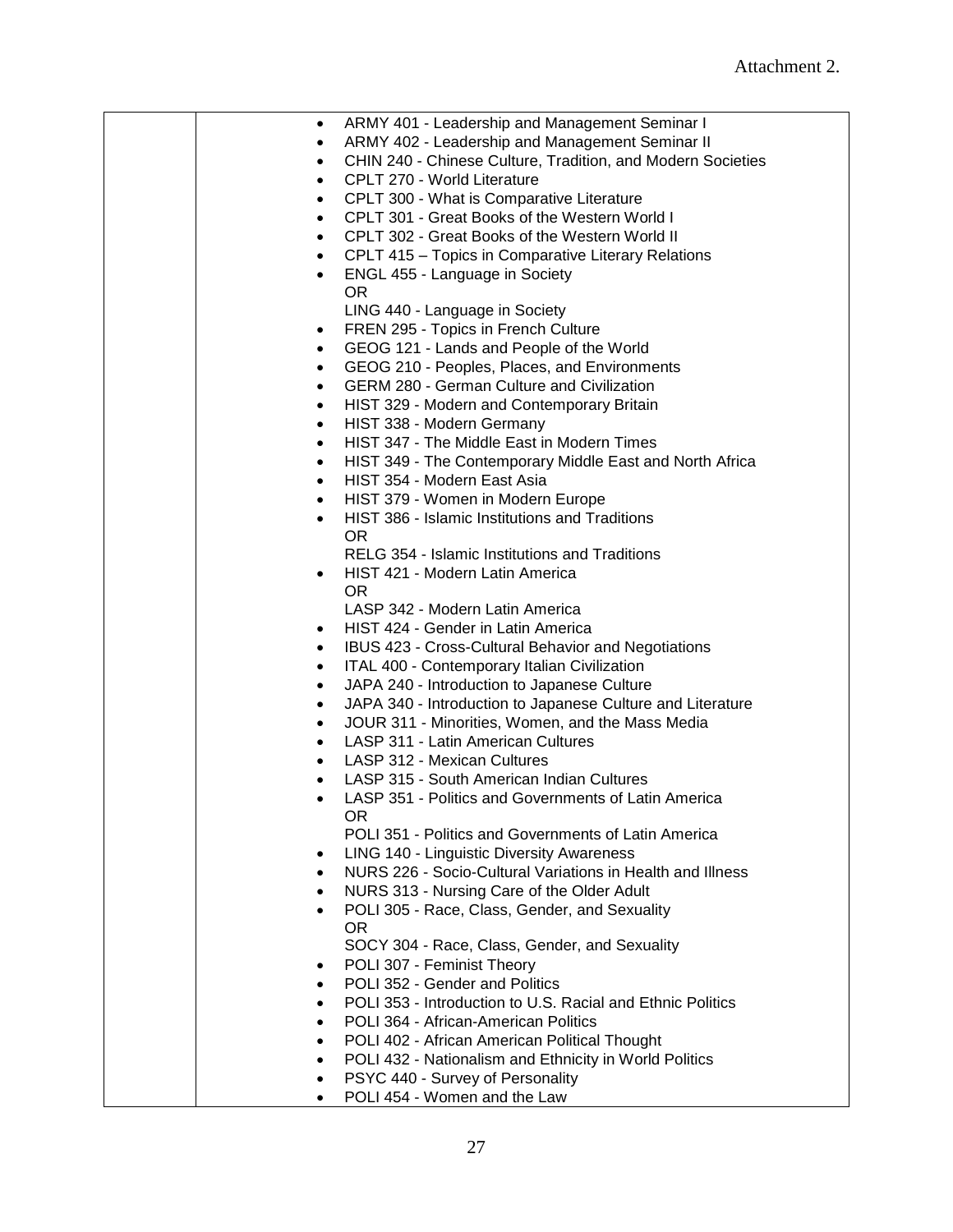| $\bullet$ | ARMY 401 - Leadership and Management Seminar I              |
|-----------|-------------------------------------------------------------|
| $\bullet$ | ARMY 402 - Leadership and Management Seminar II             |
| $\bullet$ | CHIN 240 - Chinese Culture, Tradition, and Modern Societies |
| $\bullet$ | CPLT 270 - World Literature                                 |
|           |                                                             |
| $\bullet$ | CPLT 300 - What is Comparative Literature                   |
| $\bullet$ | CPLT 301 - Great Books of the Western World I               |
| $\bullet$ | CPLT 302 - Great Books of the Western World II              |
| $\bullet$ | CPLT 415 - Topics in Comparative Literary Relations         |
|           | ENGL 455 - Language in Society                              |
|           | OR.                                                         |
|           | LING 440 - Language in Society                              |
| $\bullet$ | FREN 295 - Topics in French Culture                         |
| $\bullet$ | GEOG 121 - Lands and People of the World                    |
| $\bullet$ | GEOG 210 - Peoples, Places, and Environments                |
| $\bullet$ | <b>GERM 280 - German Culture and Civilization</b>           |
| $\bullet$ | HIST 329 - Modern and Contemporary Britain                  |
| $\bullet$ | HIST 338 - Modern Germany                                   |
| $\bullet$ | HIST 347 - The Middle East in Modern Times                  |
|           |                                                             |
| $\bullet$ | HIST 349 - The Contemporary Middle East and North Africa    |
| $\bullet$ | HIST 354 - Modern East Asia                                 |
| $\bullet$ | HIST 379 - Women in Modern Europe                           |
| $\bullet$ | HIST 386 - Islamic Institutions and Traditions              |
|           | OR.                                                         |
|           | RELG 354 - Islamic Institutions and Traditions              |
|           | HIST 421 - Modern Latin America                             |
|           | <b>OR</b>                                                   |
|           | LASP 342 - Modern Latin America                             |
| $\bullet$ | HIST 424 - Gender in Latin America                          |
| $\bullet$ | IBUS 423 - Cross-Cultural Behavior and Negotiations         |
| $\bullet$ | ITAL 400 - Contemporary Italian Civilization                |
| $\bullet$ | JAPA 240 - Introduction to Japanese Culture                 |
| $\bullet$ | JAPA 340 - Introduction to Japanese Culture and Literature  |
| $\bullet$ | JOUR 311 - Minorities, Women, and the Mass Media            |
| $\bullet$ | LASP 311 - Latin American Cultures                          |
| $\bullet$ | <b>LASP 312 - Mexican Cultures</b>                          |
|           | LASP 315 - South American Indian Cultures                   |
|           | LASP 351 - Politics and Governments of Latin America        |
|           | OR.                                                         |
|           | POLI 351 - Politics and Governments of Latin America        |
|           | LING 140 - Linguistic Diversity Awareness                   |
|           | NURS 226 - Socio-Cultural Variations in Health and Illness  |
|           | NURS 313 - Nursing Care of the Older Adult                  |
|           |                                                             |
|           | POLI 305 - Race, Class, Gender, and Sexuality<br><b>OR</b>  |
|           |                                                             |
|           | SOCY 304 - Race, Class, Gender, and Sexuality               |
| $\bullet$ | POLI 307 - Feminist Theory                                  |
| $\bullet$ | POLI 352 - Gender and Politics                              |
|           | POLI 353 - Introduction to U.S. Racial and Ethnic Politics  |
|           | POLI 364 - African-American Politics                        |
|           | POLI 402 - African American Political Thought               |
|           | POLI 432 - Nationalism and Ethnicity in World Politics      |
|           | PSYC 440 - Survey of Personality                            |
|           | POLI 454 - Women and the Law                                |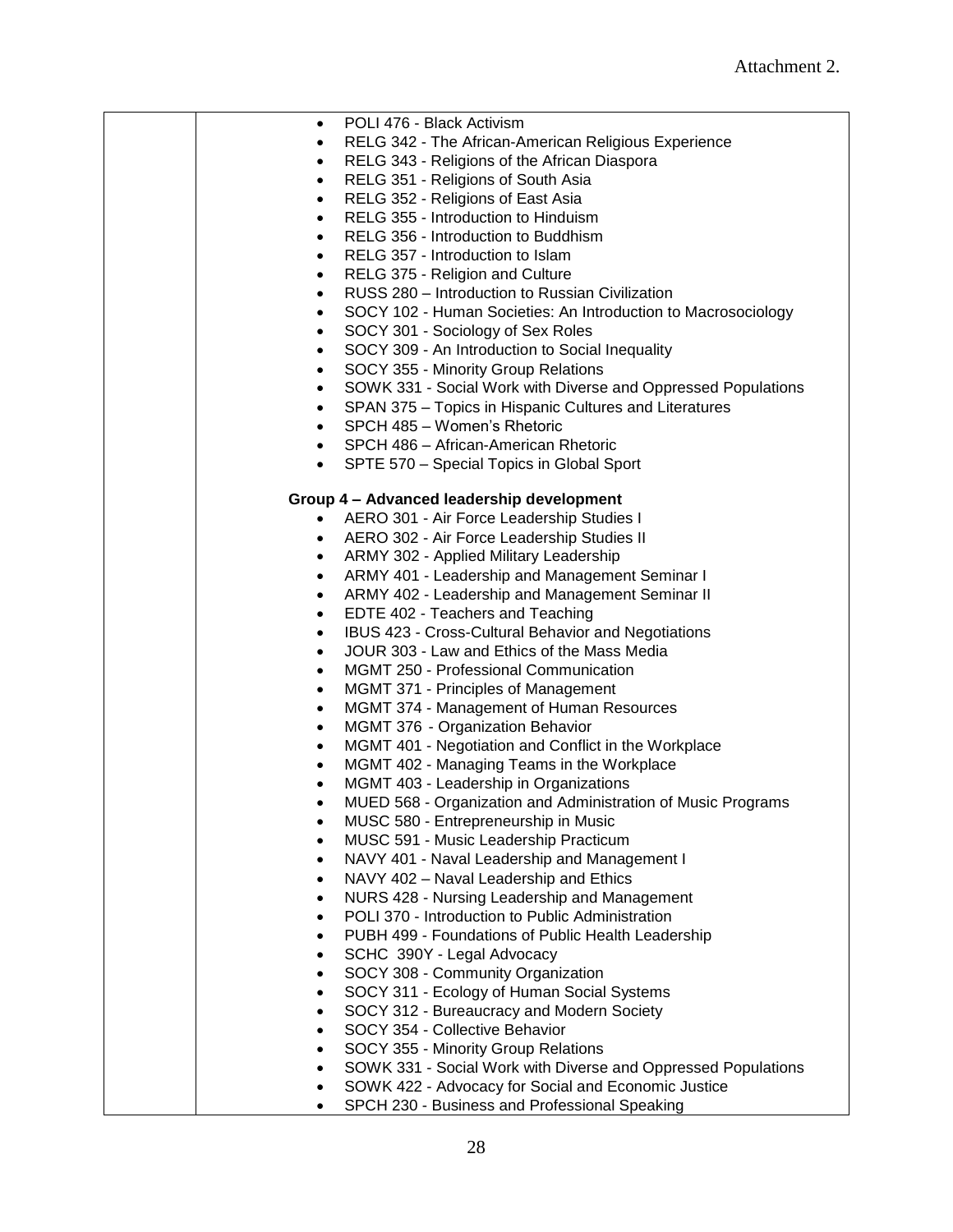| $\bullet$ | POLI 476 - Black Activism                                     |
|-----------|---------------------------------------------------------------|
| $\bullet$ | RELG 342 - The African-American Religious Experience          |
| $\bullet$ | RELG 343 - Religions of the African Diaspora                  |
| $\bullet$ | RELG 351 - Religions of South Asia                            |
| $\bullet$ | RELG 352 - Religions of East Asia                             |
| $\bullet$ | RELG 355 - Introduction to Hinduism                           |
| $\bullet$ | RELG 356 - Introduction to Buddhism                           |
| $\bullet$ | RELG 357 - Introduction to Islam                              |
| $\bullet$ | RELG 375 - Religion and Culture                               |
| $\bullet$ | RUSS 280 - Introduction to Russian Civilization               |
| $\bullet$ | SOCY 102 - Human Societies: An Introduction to Macrosociology |
| $\bullet$ | SOCY 301 - Sociology of Sex Roles                             |
| $\bullet$ | SOCY 309 - An Introduction to Social Inequality               |
| $\bullet$ | SOCY 355 - Minority Group Relations                           |
| $\bullet$ | SOWK 331 - Social Work with Diverse and Oppressed Populations |
| $\bullet$ | SPAN 375 - Topics in Hispanic Cultures and Literatures        |
| $\bullet$ | SPCH 485 - Women's Rhetoric                                   |
|           | • SPCH 486 - African-American Rhetoric                        |
|           |                                                               |
| $\bullet$ | SPTE 570 - Special Topics in Global Sport                     |
|           | Group 4 - Advanced leadership development                     |
|           | • AERO 301 - Air Force Leadership Studies I                   |
|           |                                                               |
| $\bullet$ | AERO 302 - Air Force Leadership Studies II                    |
| $\bullet$ | ARMY 302 - Applied Military Leadership                        |
| $\bullet$ | ARMY 401 - Leadership and Management Seminar I                |
| $\bullet$ | ARMY 402 - Leadership and Management Seminar II               |
| $\bullet$ | EDTE 402 - Teachers and Teaching                              |
| $\bullet$ | IBUS 423 - Cross-Cultural Behavior and Negotiations           |
| $\bullet$ | JOUR 303 - Law and Ethics of the Mass Media                   |
| $\bullet$ | <b>MGMT 250 - Professional Communication</b>                  |
| ٠         | MGMT 371 - Principles of Management                           |
| $\bullet$ | MGMT 374 - Management of Human Resources                      |
| ٠         | MGMT 376 - Organization Behavior                              |
| $\bullet$ | MGMT 401 - Negotiation and Conflict in the Workplace          |
| $\bullet$ | MGMT 402 - Managing Teams in the Workplace                    |
| ٠         | MGMT 403 - Leadership in Organizations                        |
|           | MUED 568 - Organization and Administration of Music Programs  |
|           | MUSC 580 - Entrepreneurship in Music                          |
|           | MUSC 591 - Music Leadership Practicum                         |
|           | NAVY 401 - Naval Leadership and Management I                  |
|           | NAVY 402 - Naval Leadership and Ethics                        |
|           | NURS 428 - Nursing Leadership and Management                  |
|           | POLI 370 - Introduction to Public Administration              |
|           | PUBH 499 - Foundations of Public Health Leadership            |
|           | SCHC 390Y - Legal Advocacy                                    |
|           | SOCY 308 - Community Organization                             |
|           | SOCY 311 - Ecology of Human Social Systems                    |
|           | SOCY 312 - Bureaucracy and Modern Society                     |
|           | SOCY 354 - Collective Behavior                                |
|           | SOCY 355 - Minority Group Relations                           |
|           | SOWK 331 - Social Work with Diverse and Oppressed Populations |
|           | SOWK 422 - Advocacy for Social and Economic Justice           |
|           | SPCH 230 - Business and Professional Speaking                 |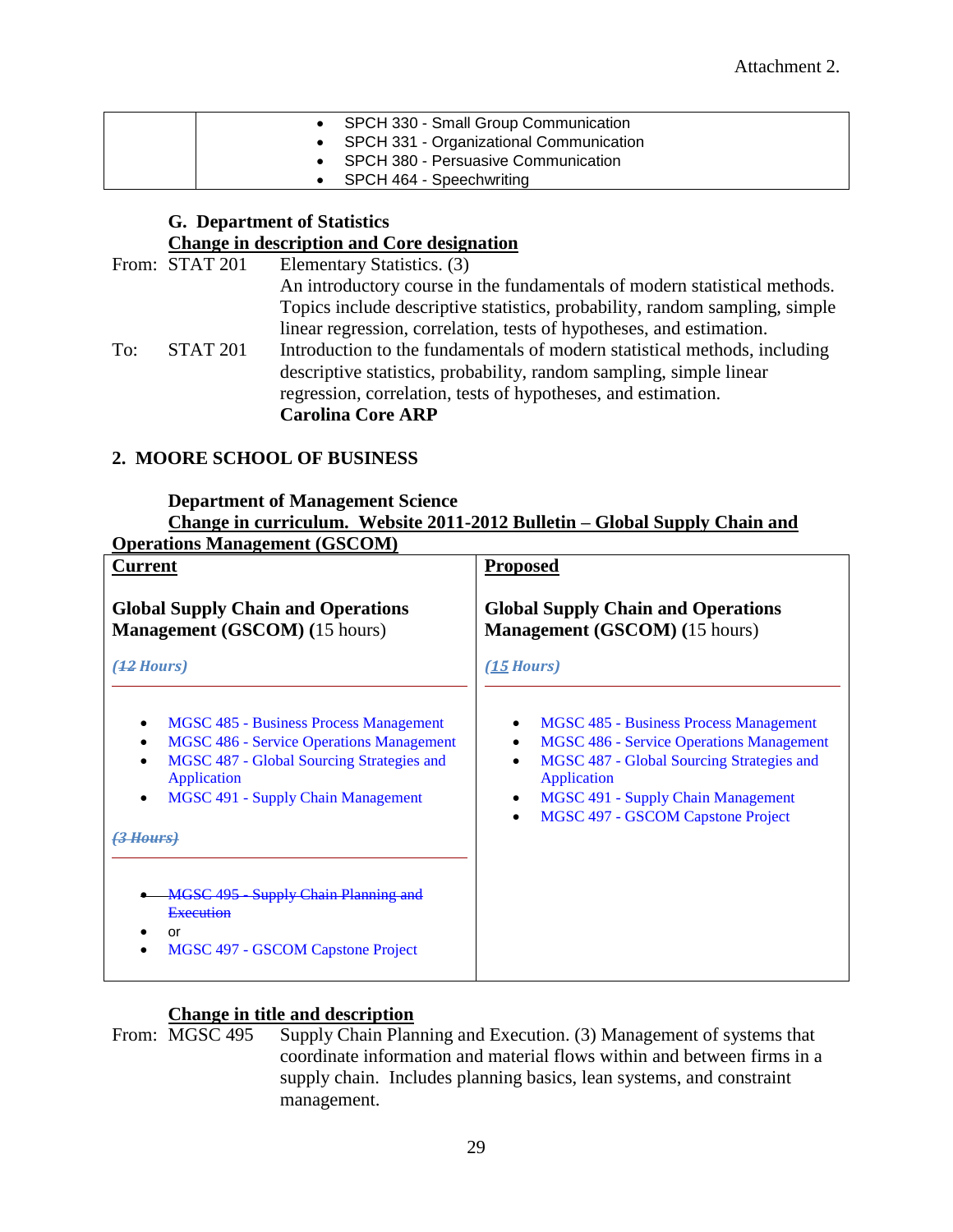| • SPCH 330 - Small Group Communication    |
|-------------------------------------------|
| • SPCH 331 - Organizational Communication |
| • SPCH 380 - Persuasive Communication     |
| SPCH 464 - Speechwriting                  |

## **G. Department of Statistics Change in description and Core designation**

|     | From: STAT 201  | Elementary Statistics. (3)                                                  |
|-----|-----------------|-----------------------------------------------------------------------------|
|     |                 | An introductory course in the fundamentals of modern statistical methods.   |
|     |                 | Topics include descriptive statistics, probability, random sampling, simple |
|     |                 | linear regression, correlation, tests of hypotheses, and estimation.        |
| To: | <b>STAT 201</b> | Introduction to the fundamentals of modern statistical methods, including   |
|     |                 | descriptive statistics, probability, random sampling, simple linear         |
|     |                 | regression, correlation, tests of hypotheses, and estimation.               |
|     |                 | <b>Carolina Core ARP</b>                                                    |
|     |                 |                                                                             |

## **2. MOORE SCHOOL OF BUSINESS**

#### **Department of Management Science Change in curriculum. Website 2011-2012 Bulletin – Global Supply Chain and Operations Management (GSCOM)**

| <u>Cramons Management (CBCC14)</u><br><b>Current</b>                                                                                                                                                                           | <b>Proposed</b>                                                                                                                                                                                                                                                                                  |
|--------------------------------------------------------------------------------------------------------------------------------------------------------------------------------------------------------------------------------|--------------------------------------------------------------------------------------------------------------------------------------------------------------------------------------------------------------------------------------------------------------------------------------------------|
| <b>Global Supply Chain and Operations</b><br><b>Management (GSCOM) (15 hours)</b>                                                                                                                                              | <b>Global Supply Chain and Operations</b><br><b>Management</b> (GSCOM) (15 hours)                                                                                                                                                                                                                |
| ( <del>12</del> Hours)                                                                                                                                                                                                         | (15 Hours)                                                                                                                                                                                                                                                                                       |
| <b>MGSC 485 - Business Process Management</b><br><b>MGSC 486 - Service Operations Management</b><br>MGSC 487 - Global Sourcing Strategies and<br>Application<br><b>MGSC 491 - Supply Chain Management</b><br><del>Hours)</del> | MGSC 485 - Business Process Management<br>٠<br><b>MGSC 486 - Service Operations Management</b><br>$\bullet$<br>MGSC 487 - Global Sourcing Strategies and<br>$\bullet$<br>Application<br><b>MGSC 491 - Supply Chain Management</b><br>$\bullet$<br>MGSC 497 - GSCOM Capstone Project<br>$\bullet$ |
| MGSC 495 Supply Chain Planning and<br>Execution<br>or<br>MGSC 497 - GSCOM Capstone Project                                                                                                                                     |                                                                                                                                                                                                                                                                                                  |

# **Change in title and description**<br>From: MGSC 495 Supply Chain Plan

Supply Chain Planning and Execution. (3) Management of systems that coordinate information and material flows within and between firms in a supply chain. Includes planning basics, lean systems, and constraint management.